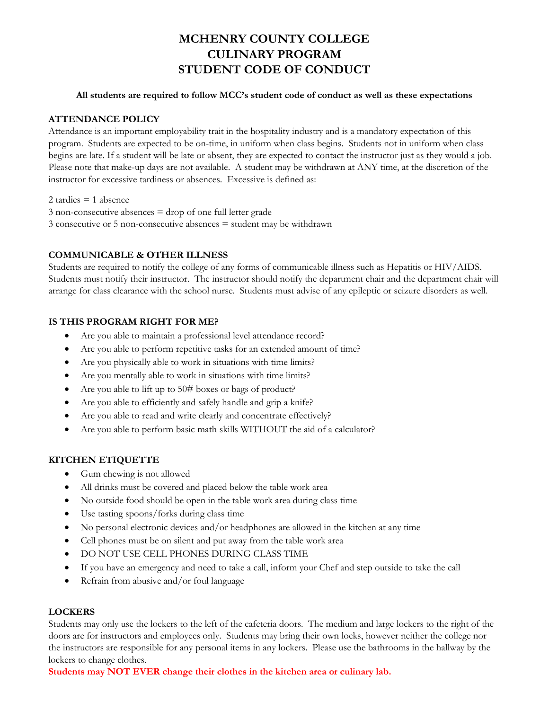# **MCHENRY COUNTY COLLEGE CULINARY PROGRAM STUDENT CODE OF CONDUCT**

#### **All students are required to follow MCC's student code of conduct as well as these expectations**

# **ATTENDANCE POLICY**

Attendance is an important employability trait in the hospitality industry and is a mandatory expectation of this program. Students are expected to be on-time, in uniform when class begins. Students not in uniform when class begins are late. If a student will be late or absent, they are expected to contact the instructor just as they would a job. Please note that make-up days are not available. A student may be withdrawn at ANY time, at the discretion of the instructor for excessive tardiness or absences. Excessive is defined as:

2 tardies  $= 1$  absence

3 non-consecutive absences = drop of one full letter grade 3 consecutive or 5 non-consecutive absences = student may be withdrawn

# **COMMUNICABLE & OTHER ILLNESS**

Students are required to notify the college of any forms of communicable illness such as Hepatitis or HIV/AIDS. Students must notify their instructor. The instructor should notify the department chair and the department chair will arrange for class clearance with the school nurse. Students must advise of any epileptic or seizure disorders as well.

#### **IS THIS PROGRAM RIGHT FOR ME?**

- Are you able to maintain a professional level attendance record?
- Are you able to perform repetitive tasks for an extended amount of time?
- Are you physically able to work in situations with time limits?
- Are you mentally able to work in situations with time limits?
- Are you able to lift up to 50# boxes or bags of product?
- Are you able to efficiently and safely handle and grip a knife?
- Are you able to read and write clearly and concentrate effectively?
- Are you able to perform basic math skills WITHOUT the aid of a calculator?

# **KITCHEN ETIQUETTE**

- Gum chewing is not allowed
- All drinks must be covered and placed below the table work area
- No outside food should be open in the table work area during class time
- Use tasting spoons/forks during class time
- No personal electronic devices and/or headphones are allowed in the kitchen at any time
- Cell phones must be on silent and put away from the table work area
- $\bullet$  DO NOT USE CELL PHONES DURING CLASS TIME
- If you have an emergency and need to take a call, inform your Chef and step outside to take the call
- Refrain from abusive and/or foul language

# **LOCKERS**

Students may only use the lockers to the left of the cafeteria doors. The medium and large lockers to the right of the doors are for instructors and employees only. Students may bring their own locks, however neither the college nor the instructors are responsible for any personal items in any lockers. Please use the bathrooms in the hallway by the lockers to change clothes.

**Students may NOT EVER change their clothes in the kitchen area or culinary lab.**